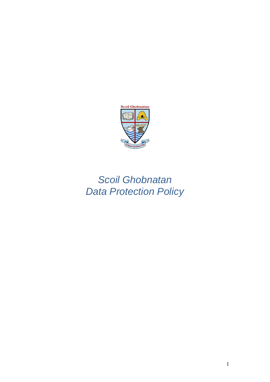

# *Scoil Ghobnatan Data Protection Policy*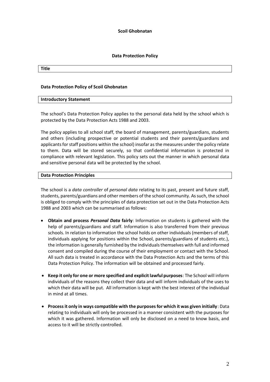**Scoil Ghobnatan**

## **Data Protection Policy**

#### **Title**

## **Data Protection Policy of Scoil Ghobnatan**

## **Introductory Statement**

The school's Data Protection Policy applies to the personal data held by the school which is protected by the Data Protection Acts 1988 and 2003.

The policy applies to all school staff, the board of management, parents/guardians, students and others (including prospective or potential students and their parents/guardians and applicants for staff positions within the school) insofar as the measures under the policy relate to them. Data will be stored securely, so that confidential information is protected in compliance with relevant legislation. This policy sets out the manner in which personal data and sensitive personal data will be protected by the school.

## **Data Protection Principles**

The school is a *data controller* of *personal data* relating to its past, present and future staff, students, parents/guardians and other members of the school community. As such, the school is obliged to comply with the principles of data protection set out in the Data Protection Acts 1988 and 2003 which can be summarised as follows:

- **Obtain and process** *Personal Data* **fairly**: Information on students is gathered with the help of parents/guardians and staff. Information is also transferred from their previous schools. In relation to information the school holds on other individuals (members of staff, individuals applying for positions within the School, parents/guardians of students etc.), the information is generally furnished by the individualsthemselves with full and informed consent and compiled during the course of their employment or contact with the School. All such data is treated in accordance with the Data Protection Acts and the terms of this Data Protection Policy. The information will be obtained and processed fairly.
- **Keep it only for one or more specified and explicit lawful purposes**: The School will inform individuals of the reasons they collect their data and will inform individuals of the uses to which their data will be put. All information is kept with the best interest of the individual in mind at all times.
- **Process it only in ways compatible with the purposes for which it was given initially**: Data relating to individuals will only be processed in a manner consistent with the purposes for which it was gathered. Information will only be disclosed on a need to know basis, and access to it will be strictly controlled.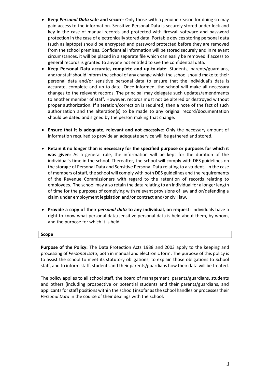- **Keep** *Personal Data* **safe and secure**: Only those with a genuine reason for doing so may gain access to the information. Sensitive Personal Data is securely stored under lock and key in the case of manual records and protected with firewall software and password protection in the case of electronically stored data. Portable devices storing personal data (such as laptops) should be encrypted and password protected before they are removed from the school premises. Confidential information will be stored securely and in relevant circumstances, it will be placed in a separate file which can easily be removed if access to general records is granted to anyone not entitled to see the confidential data.
- **Keep Personal Data accurate, complete and up-to-date**: Students, parents/guardians, and/or staff should inform the school of any change which the school should make to their personal data and/or sensitive personal data to ensure that the individual's data is accurate, complete and up-to-date. Once informed, the school will make all necessary changes to the relevant records. The principal may delegate such updates/amendments to another member of staff. However, records must not be altered or destroyed without proper authorization. If alteration/correction is required, then a note of the fact of such authorization and the alteration(s) to be made to any original record/documentation should be dated and signed by the person making that change.
- **Ensure that it is adequate, relevant and not excessive**: Only the necessary amount of information required to provide an adequate service will be gathered and stored.
- **Retain it no longer than is necessary for the specified purpose or purposes for which it was given**: As a general rule, the information will be kept for the duration of the individual's time in the school. Thereafter, the school will comply with DES guidelines on the storage of Personal Data and Sensitive Personal Data relating to a student. In the case of members of staff, the school will comply with both DES guidelines and the requirements of the Revenue Commissioners with regard to the retention of records relating to employees. The school may also retain the data relating to an individual for a longer length of time for the purposes of complying with relevant provisions of law and or/defending a claim under employment legislation and/or contract and/or civil law.
- **Provide a copy of their** *personal data* **to any individual, on request**: Individuals have a right to know what personal data/sensitive personal data is held about them, by whom, and the purpose for which it is held.

## **Scope**

**Purpose of the Policy:** The Data Protection Acts 1988 and 2003 apply to the keeping and processing of *Personal Data*, both in manual and electronic form. The purpose of this policy is to assist the school to meet its statutory obligations, to explain those obligations to School staff, and to inform staff, students and their parents/guardians how their data will be treated.

The policy applies to all school staff, the board of management, parents/guardians, students and others (including prospective or potential students and their parents/guardians, and applicants for staff positions within the school) insofar as the school handles or processes their *Personal Data* in the course of their dealings with the school.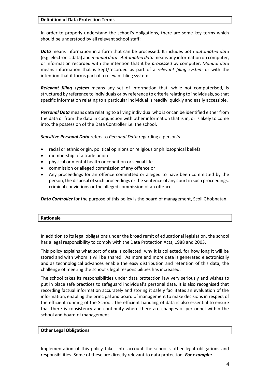## **Definition of Data Protection Terms**

In order to properly understand the school's obligations, there are some key terms which should be understood by all relevant school staff:

*Data* means information in a form that can be processed. It includes both *automated data* (e.g. electronic data) and *manual data*. *Automated data* means any information on computer, or information recorded with the intention that it be *processed* by computer. *Manual data* means information that is kept/recorded as part of a *relevant filing system* or with the intention that it forms part of a relevant filing system.

*Relevant filing system* means any set of information that, while not computerised, is structured by reference to individuals or by reference to criteria relating to individuals, so that specific information relating to a particular individual is readily, quickly and easily accessible.

*Personal Data* means data relating to a living individual who is or can be identified either from the data or from the data in conjunction with other information that is in, or is likely to come into, the possession of the Data Controller i.e. the school.

*Sensitive Personal Data* refers to *Personal Data* regarding a person's

- racial or ethnic origin, political opinions or religious or philosophical beliefs
- membership of a trade union
- physical or mental health or condition or sexual life
- commission or alleged commission of any offence or
- Any proceedings for an offence committed or alleged to have been committed by the person, the disposal of such proceedings or the sentence of any court in such proceedings, criminal convictions or the alleged commission of an offence.

**Data Controller** for the purpose of this policy is the board of management, Scoil Ghobnatan.

In addition to its legal obligations under the broad remit of educational legislation, the school has a legal responsibility to comply with the Data Protection Acts, 1988 and 2003.

This policy explains what sort of data is collected, why it is collected, for how long it will be stored and with whom it will be shared. As more and more data is generated electronically and as technological advances enable the easy distribution and retention of this data, the challenge of meeting the school's legal responsibilities has increased.

The school takes its responsibilities under data protection law very seriously and wishes to put in place safe practices to safeguard individual's personal data. It is also recognised that recording factual information accurately and storing it safely facilitates an evaluation of the information, enabling the principal and board of management to make decisions in respect of the efficient running of the School. The efficient handling of data is also essential to ensure that there is consistency and continuity where there are changes of personnel within the school and board of management.

## **Other Legal Obligations**

Implementation of this policy takes into account the school's other legal obligations and responsibilities. Some of these are directly relevant to data protection. *For example:*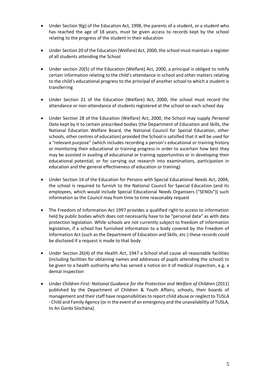- Under Section 9(g) of the [Education Act, 1998,](http://acts2.oireachtas.ie/zza51y1998.1.html) the parents of a student, or a student who has reached the age of 18 years, must be given access to records kept by the school relating to the progress of the student in their education
- Under Section 20 of th[e Education \(Welfare\) Act, 2000,](http://www.oireachtas.ie/documents/bills28/acts/2000/a2200.pdf) the school must maintain a register of all students attending the School
- Under section 20(5) of the Education (Welfare) Act, 2000, a principal is obliged to notify certain information relating to the child's attendance in school and other matters relating to the child's educational progress to the principal of another school to which a student is transferring
- Under Section 21 of the [Education \(Welfare\) Act, 2000,](http://www.oireachtas.ie/documents/bills28/acts/2000/a2200.pdf) the school must record the attendance or non-attendance of students registered at the school on each school day
- Under Section 28 of the [Education \(Welfare\) Act, 2000,](http://www.oireachtas.ie/documents/bills28/acts/2000/a2200.pdf) the School may supply *Personal Data* kept by it to certain prescribed bodies (the Department of Education and Skills, the National Education Welfare Board, the National Council for Special Education, other schools, other centres of education) provided the School is satisfied that it will be used for a "relevant purpose" (which includes recording a person's educational or training history or monitoring their educational or training progress in order to ascertain how best they may be assisted in availing of educational or training opportunities or in developing their educational potential; or for carrying out research into examinations, participation in education and the general effectiveness of education or training)
- Under Section 14 of the Education for Persons with Special Educational Needs Act, 2004, the school is required to furnish to the National Council for Special Education (and its employees, which would include Special Educational Needs Organisers ("SENOs")) such information as the Council may from time to time reasonably request
- The Freedom of Information Act 1997 provides a qualified right to access to information held by public bodies which does not necessarily have to be "personal data" as with data protection legislation. While schools are not currently subject to freedom of information legislation, if a school has furnished information to a body covered by the Freedom of Information Act (such as the Department of Education and Skills, etc.) these records could be disclosed if a request is made to that body
- Under Section 26(4) of the Health Act, 1947 a School shall cause all reasonable facilities (including facilities for obtaining names and addresses of pupils attending the school) to be given to a health authority who has served a notice on it of medical inspection, e.g. a dental inspection
- Under *Children First: National Guidance for the Protection and Welfare of Children* (2011) published by the Department of Children & Youth Affairs, schools, their boards of management and their staff have responsibilities to report child abuse or neglect to TUSLA - Child and Family Agency (or in the event of an emergency and the unavailability of TUSLA, to An Garda Síochána).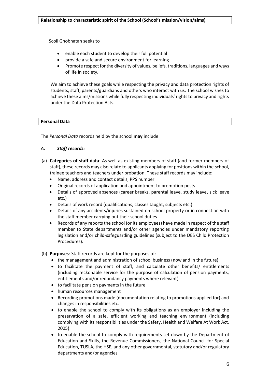Scoil Ghobnatan seeks to

- enable each student to develop their full potential
- provide a safe and secure environment for learning
- Promote respect for the diversity of values, beliefs, traditions, languages and ways of life in society.

We aim to achieve these goals while respecting the privacy and data protection rights of students, staff, parents/guardians and others who interact with us. The school wishes to achieve these aims/missions while fully respecting individuals' rights to privacy and rights under the Data Protection Acts.

# **Personal Data**

The *Personal Data* records held by the school **may** include:

# *A. Staff records:*

- (a) **Categories of staff data**: As well as existing members of staff (and former members of staff), these records may also relate to applicants applying for positions within the school, trainee teachers and teachers under probation. These staff records may include:
	- Name, address and contact details, PPS number
	- Original records of application and appointment to promotion posts
	- Details of approved absences (career breaks, parental leave, study leave, sick leave etc.)
	- Details of work record (qualifications, classes taught, subjects etc.)
	- Details of any accidents/injuries sustained on school property or in connection with the staff member carrying out their school duties
	- Records of any reports the school (or its employees) have made in respect of the staff member to State departments and/or other agencies under mandatory reporting legislation and/or child-safeguarding guidelines (subject to the DES Child Protection Procedures).
- (b) **Purposes**: Staff records are kept for the purposes of:
	- the management and administration of school business (now and in the future)
	- to facilitate the payment of staff, and calculate other benefits/ entitlements (including reckonable service for the purpose of calculation of pension payments, entitlements and/or redundancy payments where relevant)
	- to facilitate pension payments in the future
	- human resources management
	- Recording promotions made (documentation relating to promotions applied for) and changes in responsibilities etc.
	- to enable the school to comply with its obligations as an employer including the preservation of a safe, efficient working and teaching environment (including complying with its responsibilities under the Safety, Health and Welfare At Work Act. 2005)
	- to enable the school to comply with requirements set down by the Department of Education and Skills, the Revenue Commissioners, the National Council for Special Education, TUSLA, the HSE, and any other governmental, statutory and/or regulatory departments and/or agencies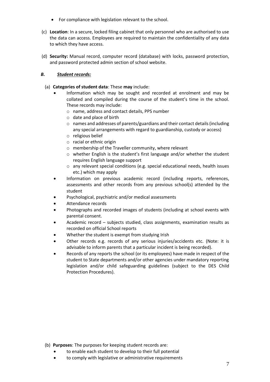- For compliance with legislation relevant to the school.
- (c) **Location**: In a secure, locked filing cabinet that only personnel who are authorised to use the data can access. Employees are required to maintain the confidentiality of any data to which they have access.
- (d) **Security:** Manual record, computer record (database) with locks, password protection, and password protected admin section of school website.

# *B. Student records:*

- (a) **Categories of student data**: These **may** include:
	- Information which may be sought and recorded at enrolment and may be collated and compiled during the course of the student's time in the school. These records may include:
		- o name, address and contact details, PPS number
		- o date and place of birth
		- o names and addresses of parents/guardians and their contact details (including any special arrangements with regard to guardianship, custody or access)
		- o religious belief
		- o racial or ethnic origin
		- o membership of the Traveller community, where relevant
		- o whether English is the student's first language and/or whether the student requires English language support
		- o any relevant special conditions (e.g. special educational needs, health issues etc.) which may apply
	- Information on previous academic record (including reports, references, assessments and other records from any previous school(s) attended by the student
	- Psychological, psychiatric and/or medical assessments
	- Attendance records
	- Photographs and recorded images of students (including at school events with parental consent.
	- Academic record subjects studied, class assignments, examination results as recorded on official School reports
	- Whether the student is exempt from studying Irish
	- Other records e.g. records of any serious injuries/accidents etc. (Note: it is advisable to inform parents that a particular incident is being recorded).
	- Records of any reports the school (or its employees) have made in respect of the student to State departments and/or other agencies under mandatory reporting legislation and/or child safeguarding guidelines (subject to the DES Child Protection Procedures).

- (b) **Purposes**: The purposes for keeping student records are:
	- to enable each student to develop to their full potential
	- to comply with legislative or administrative requirements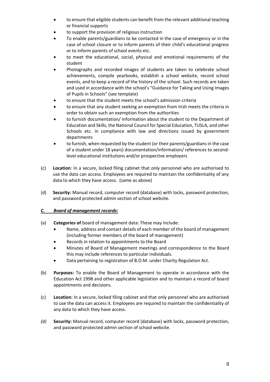- to ensure that eligible students can benefit from the relevant additional teaching or financial supports
- to support the provision of religious instruction
- To enable parents/guardians to be contacted in the case of emergency or in the case of school closure or to inform parents of their child's educational progress or to inform parents of school events etc.
- to meet the educational, social, physical and emotional requirements of the student
- Photographs and recorded images of students are taken to celebrate school achievements, compile yearbooks, establish a school website, record school events, and to keep a record of the history of the school. Such records are taken and used in accordance with the school's "Guidance for Taking and Using Images of Pupils in Schools" (see template)
- to ensure that the student meets the school's admission criteria
- to ensure that any student seeking an exemption from Irish meets the criteria in order to obtain such an exemption from the authorities
- to furnish documentation/ information about the student to the Department of Education and Skills, the National Council for Special Education, TUSLA, and other Schools etc. in compliance with law and directions issued by government departments
- to furnish, when requested by the student (or their parents/guardians in the case of a student under 18 years) documentation/information/ references to secondlevel educational institutions and/or prospective employers
- (c) **Location**: In a secure, locked filing cabinet that only personnel who are authorised to use the data can access. Employees are required to maintain the confidentiality of any data to which they have access. (same as above)
- (d) **Security:** Manual record, computer record (database) with locks, password protection, and password protected admin section of school website.

# *C. Board of management records:*

- (a) **Categories of** board of management data: These may include:
	- Name, address and contact details of each member of the board of management (including former members of the board of management)
	- Records in relation to appointments to the Board
	- Minutes of Board of Management meetings and correspondence to the Board this may include references to particular individuals.
	- Data pertaining to registration of B.O.M. under Charity Regulation Act.
- (b) **Purposes:** To enable the Board of Management to operate in accordance with the Education Act 1998 and other applicable legislation and to maintain a record of board appointments and decisions.
- (c) **Location**: In a secure, locked filing cabinet and that only personnel who are authorised to use the data can access it. Employees are required to maintain the confidentiality of any data to which they have access.
- *(d)* **Security:** Manual record, computer record (database) with locks, password protection, and password protected admin section of school website.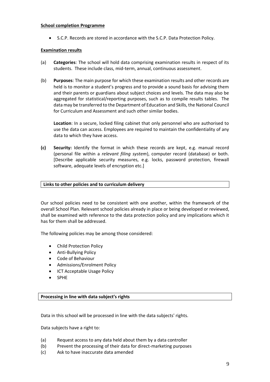## **School completion Programme**

• S.C.P. Records are stored in accordance with the S.C.P. Data Protection Policy.

# **Examination results**

- (a) **Categories**: The school will hold data comprising examination results in respect of its students. These include class, mid-term, annual, continuous assessment.
- (b) **Purposes**: The main purpose for which these examination results and other records are held is to monitor a student's progress and to provide a sound basis for advising them and their parents or guardians about subject choices and levels. The data may also be aggregated for statistical/reporting purposes, such as to compile results tables. The data may be transferred to the Department of Education and Skills, the National Council for Curriculum and Assessment and such other similar bodies.

**Location**: In a secure, locked filing cabinet that only personnel who are authorised to use the data can access. Employees are required to maintain the confidentiality of any data to which they have access.

**(c) Security:** Identify the format in which these records are kept, e.g. manual record (personal file within a *relevant filing system*), computer record (database) or both. [Describe applicable security measures, e.g. locks, password protection, firewall software, adequate levels of encryption etc.]

## **Links to other policies and to curriculum delivery**

Our school policies need to be consistent with one another, within the framework of the overall School Plan. Relevant school policies already in place or being developed or reviewed, shall be examined with reference to the data protection policy and any implications which it has for them shall be addressed.

The following policies may be among those considered:

- Child Protection Policy
- Anti-Bullying Policy
- Code of Behaviour
- Admissions/Enrolment Policy
- ICT Acceptable Usage Policy
- **SPHE**

**Processing in line with data subject's rights**

Data in this school will be processed in line with the data subjects' rights.

Data subjects have a right to:

- (a) Request access to any data held about them by a data controller
- (b) Prevent the processing of their data for direct-marketing purposes
- (c) Ask to have inaccurate data amended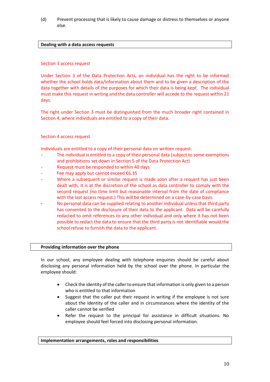(d) Prevent processing that is likely to cause damage or distress to themselves or anyone else.

# **Dealing with a data access requests**

## Section 3 access request

Under Section 3 of the Data Protection Acts, an individual has the right to be informed whether the school holds data/information about them and to be given a description of the data together with details of the purposes for which their data is being kept. The individual must make this request in writing and the data controller will accede to the request within 21 days.

The right under Section 3 must be distinguished from the much broader right contained in Section 4, where individuals are entitled to a copy of their data.

# Section 4 access request

Individuals are entitled to a copy of their personal data on written request.

- The individual is entitled to a copy of their personal data (subject to some exemptions and prohibitions set down in Section 5 of the Data Protection Act)
- Request must be responded to within 40 days
- Fee may apply but cannot exceed  $€6.35$
- Where a subsequent or similar request is made soon after a request has just been dealt with, it is at the discretion of the school as data controller to comply with the second request (no time limit but reasonable interval from the date of compliance with the last access request.) This will be determined on a case-by-case basis.
- No personal data can be supplied relating to another individual unless that third party has consented to the disclosure of their data to the applicant. Data will be carefully redacted to omit references to any other individual and only where it has not been possible to redact the data to ensure that the third party is not identifiable would the school refuse to furnish the data to the applicant.

## **Providing information over the phone**

In our school, any employee dealing with telephone enquiries should be careful about disclosing any personal information held by the school over the phone. In particular the employee should:

- Check the identity of the caller to ensure that information is only given to a person who is entitled to that information
- Suggest that the caller put their request in writing if the employee is not sure about the identity of the caller and in circumstances where the identity of the caller cannot be verified
- Refer the request to the principal for assistance in difficult situations. No employee should feel forced into disclosing personal information.

**Implementation arrangements, roles and responsibilities**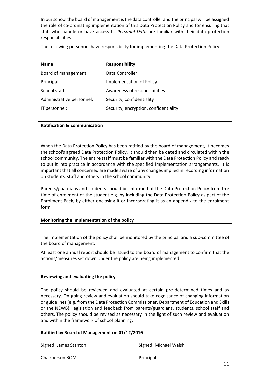In our school the board of management is the data controller and the principal will be assigned the role of co-ordinating implementation of this Data Protection Policy and for ensuring that staff who handle or have access to *Personal Data* are familiar with their data protection responsibilities.

The following personnel have responsibility for implementing the Data Protection Policy:

| <b>Name</b>               | <b>Responsibility</b>                 |
|---------------------------|---------------------------------------|
| Board of management:      | Data Controller                       |
| Principal:                | <b>Implementation of Policy</b>       |
| School staff:             | Awareness of responsibilities         |
| Administrative personnel: | Security, confidentiality             |
| IT personnel:             | Security, encryption, confidentiality |

## **Ratification & communication**

When the Data Protection Policy has been ratified by the board of management, it becomes the school's agreed Data Protection Policy. It should then be dated and circulated within the school community. The entire staff must be familiar with the Data Protection Policy and ready to put it into practice in accordance with the specified implementation arrangements. It is important that all concerned are made aware of any changes implied in recording information on students, staff and others in the school community.

Parents/guardians and students should be informed of the Data Protection Policy from the time of enrolment of the student e.g. by including the Data Protection Policy as part of the Enrolment Pack, by either enclosing it or incorporating it as an appendix to the enrolment form.

## **Monitoring the implementation of the policy**

The implementation of the policy shall be monitored by the principal and a sub-committee of the board of management.

At least one annual report should be issued to the board of management to confirm that the actions/measures set down under the policy are being implemented.

| <b>Reviewing and evaluating the policy</b> |  |
|--------------------------------------------|--|
|--------------------------------------------|--|

The policy should be reviewed and evaluated at certain pre-determined times and as necessary. On-going review and evaluation should take cognisance of changing information or guidelines (e.g. from the Data Protection Commissioner, Department of Education and Skills or the NEWB), legislation and feedback from parents/guardians, students, school staff and others. The policy should be revised as necessary in the light of such review and evaluation and within the framework of school planning.

## **Ratified by Board of Management on 01/12/2016**

Signed: James Stanton Signed: Michael Walsh

Chairperson BOM Principal